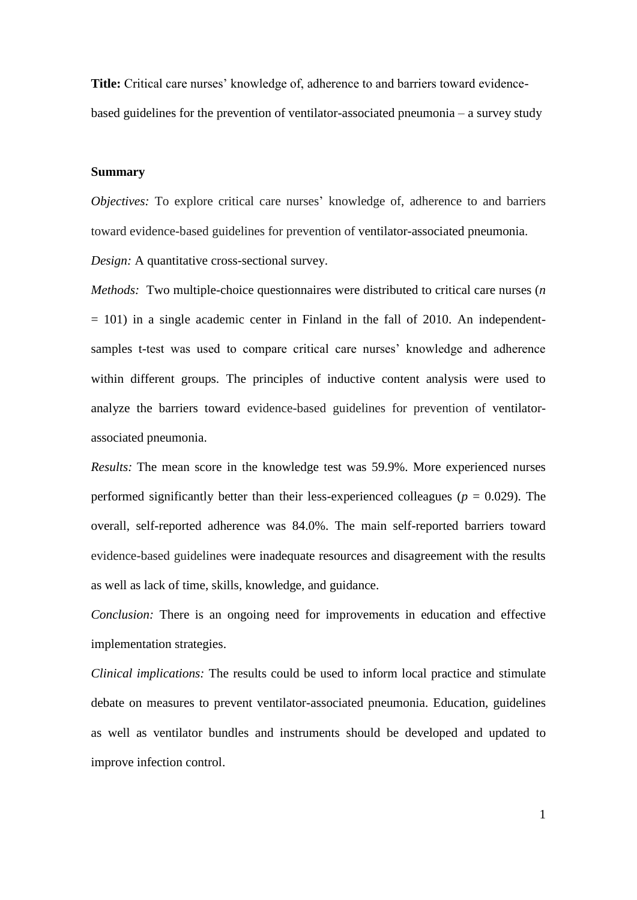**Title:** Critical care nurses' knowledge of, adherence to and barriers toward evidencebased guidelines for the prevention of ventilator-associated pneumonia – a survey study

## **Summary**

*Objectives:* To explore critical care nurses' knowledge of, adherence to and barriers toward evidence-based guidelines for prevention of ventilator-associated pneumonia.

*Design:* A quantitative cross-sectional survey.

*Methods:* Two multiple-choice questionnaires were distributed to critical care nurses (*n*  $= 101$ ) in a single academic center in Finland in the fall of 2010. An independentsamples t-test was used to compare critical care nurses' knowledge and adherence within different groups. The principles of inductive content analysis were used to analyze the barriers toward evidence-based guidelines for prevention of ventilatorassociated pneumonia.

*Results:* The mean score in the knowledge test was 59.9%. More experienced nurses performed significantly better than their less-experienced colleagues ( $p = 0.029$ ). The overall, self-reported adherence was 84.0%. The main self-reported barriers toward evidence-based guidelines were inadequate resources and disagreement with the results as well as lack of time, skills, knowledge, and guidance.

*Conclusion:* There is an ongoing need for improvements in education and effective implementation strategies.

*Clinical implications:* The results could be used to inform local practice and stimulate debate on measures to prevent ventilator-associated pneumonia. Education, guidelines as well as ventilator bundles and instruments should be developed and updated to improve infection control.

1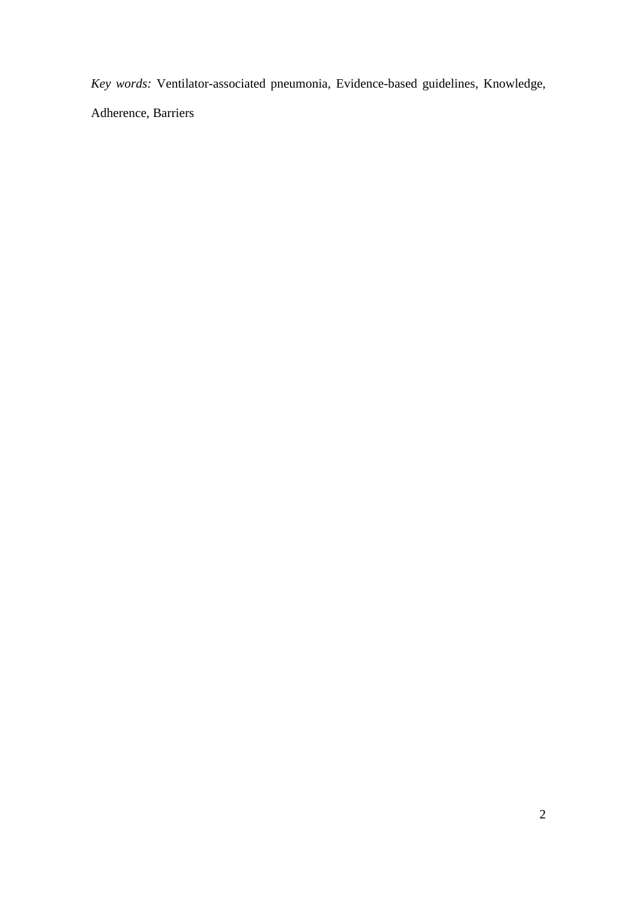*Key words:* Ventilator-associated pneumonia, Evidence-based guidelines, Knowledge, Adherence, Barriers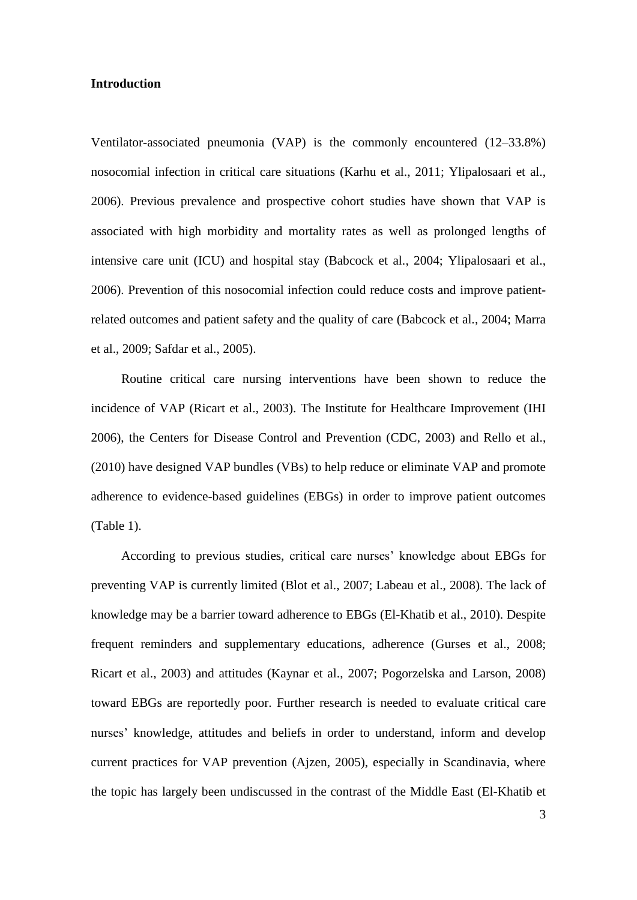# **Introduction**

Ventilator-associated pneumonia (VAP) is the commonly encountered (12–33.8%) nosocomial infection in critical care situations (Karhu et al., 2011; Ylipalosaari et al., 2006). Previous prevalence and prospective cohort studies have shown that VAP is associated with high morbidity and mortality rates as well as prolonged lengths of intensive care unit (ICU) and hospital stay (Babcock et al., 2004; Ylipalosaari et al., 2006). Prevention of this nosocomial infection could reduce costs and improve patientrelated outcomes and patient safety and the quality of care (Babcock et al., 2004; Marra et al., 2009; Safdar et al., 2005).

Routine critical care nursing interventions have been shown to reduce the incidence of VAP (Ricart et al., 2003). The Institute for Healthcare Improvement (IHI 2006), the Centers for Disease Control and Prevention (CDC, 2003) and Rello et al., (2010) have designed VAP bundles (VBs) to help reduce or eliminate VAP and promote adherence to evidence-based guidelines (EBGs) in order to improve patient outcomes (Table 1).

According to previous studies, critical care nurses' knowledge about EBGs for preventing VAP is currently limited (Blot et al., 2007; Labeau et al., 2008). The lack of knowledge may be a barrier toward adherence to EBGs (El-Khatib et al., 2010). Despite frequent reminders and supplementary educations, adherence (Gurses et al., 2008; Ricart et al., 2003) and attitudes (Kaynar et al., 2007; Pogorzelska and Larson, 2008) toward EBGs are reportedly poor. Further research is needed to evaluate critical care nurses' knowledge, attitudes and beliefs in order to understand, inform and develop current practices for VAP prevention (Ajzen, 2005), especially in Scandinavia, where the topic has largely been undiscussed in the contrast of the Middle East (El-Khatib et

3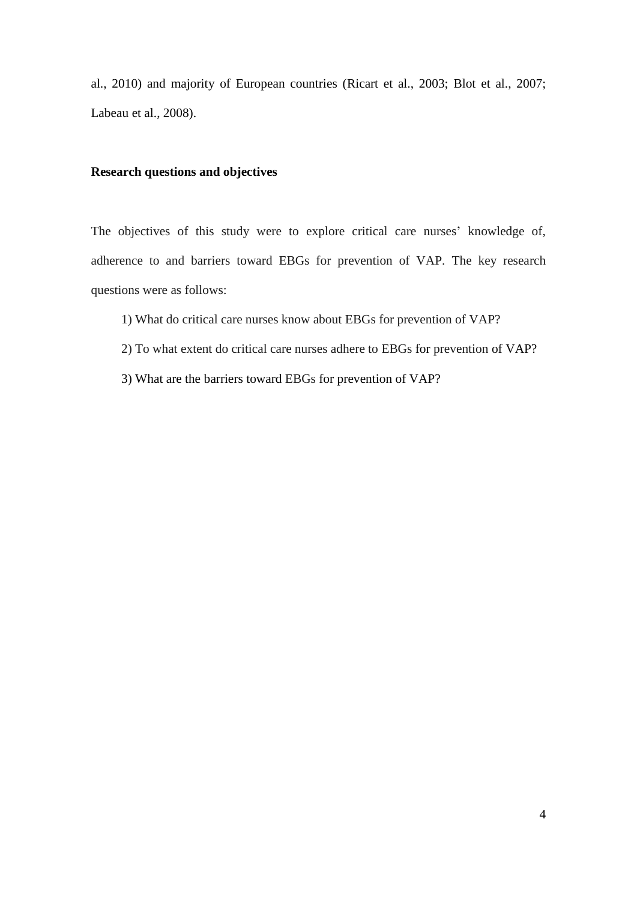al., 2010) and majority of European countries (Ricart et al., 2003; Blot et al., 2007; Labeau et al., 2008).

# **Research questions and objectives**

The objectives of this study were to explore critical care nurses' knowledge of, adherence to and barriers toward EBGs for prevention of VAP. The key research questions were as follows:

- 1) What do critical care nurses know about EBGs for prevention of VAP?
- 2) To what extent do critical care nurses adhere to EBGs for prevention of VAP?
- 3) What are the barriers toward EBGs for prevention of VAP?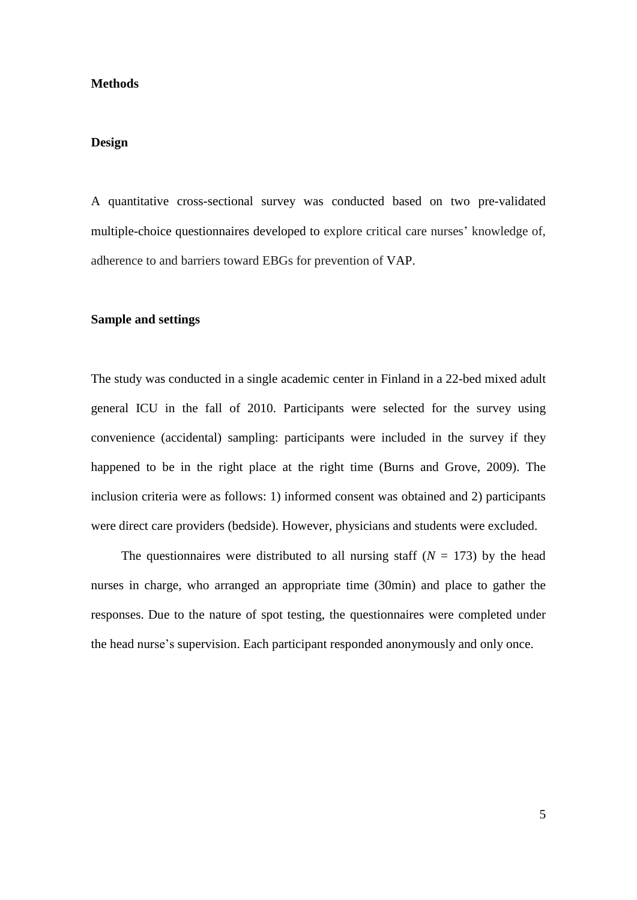## **Methods**

## **Design**

A quantitative cross-sectional survey was conducted based on two pre-validated multiple-choice questionnaires developed to explore critical care nurses' knowledge of, adherence to and barriers toward EBGs for prevention of VAP.

## **Sample and settings**

The study was conducted in a single academic center in Finland in a 22-bed mixed adult general ICU in the fall of 2010. Participants were selected for the survey using convenience (accidental) sampling: participants were included in the survey if they happened to be in the right place at the right time (Burns and Grove, 2009). The inclusion criteria were as follows: 1) informed consent was obtained and 2) participants were direct care providers (bedside). However, physicians and students were excluded.

The questionnaires were distributed to all nursing staff  $(N = 173)$  by the head nurses in charge, who arranged an appropriate time (30min) and place to gather the responses. Due to the nature of spot testing, the questionnaires were completed under the head nurse's supervision. Each participant responded anonymously and only once.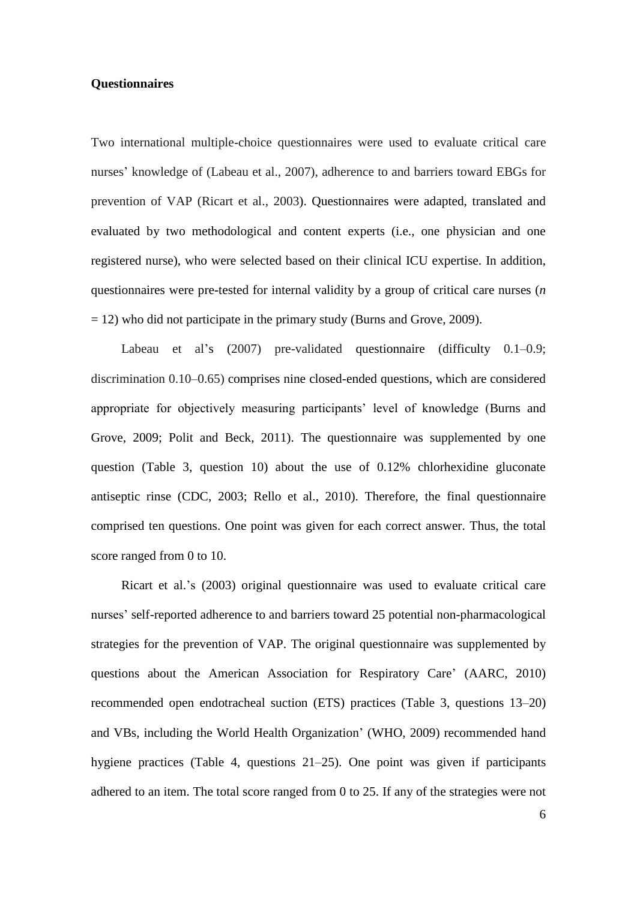# **Questionnaires**

Two international multiple-choice questionnaires were used to evaluate critical care nurses' knowledge of (Labeau et al., 2007), adherence to and barriers toward EBGs for prevention of VAP (Ricart et al., 2003). Questionnaires were adapted, translated and evaluated by two methodological and content experts (i.e., one physician and one registered nurse), who were selected based on their clinical ICU expertise. In addition, questionnaires were pre-tested for internal validity by a group of critical care nurses (*n*  $= 12$ ) who did not participate in the primary study (Burns and Grove, 2009).

Labeau et al's (2007) pre-validated questionnaire (difficulty 0.1–0.9; discrimination 0.10–0.65) comprises nine closed-ended questions, which are considered appropriate for objectively measuring participants' level of knowledge (Burns and Grove, 2009; Polit and Beck, 2011). The questionnaire was supplemented by one question (Table 3, question 10) about the use of 0.12% chlorhexidine gluconate antiseptic rinse (CDC, 2003; Rello et al., 2010). Therefore, the final questionnaire comprised ten questions. One point was given for each correct answer. Thus, the total score ranged from 0 to 10.

Ricart et al.'s (2003) original questionnaire was used to evaluate critical care nurses' self-reported adherence to and barriers toward 25 potential non-pharmacological strategies for the prevention of VAP. The original questionnaire was supplemented by questions about the American Association for Respiratory Care' (AARC, 2010) recommended open endotracheal suction (ETS) practices (Table 3, questions 13–20) and VBs, including the World Health Organization' (WHO, 2009) recommended hand hygiene practices (Table 4, questions 21–25). One point was given if participants adhered to an item. The total score ranged from 0 to 25. If any of the strategies were not

6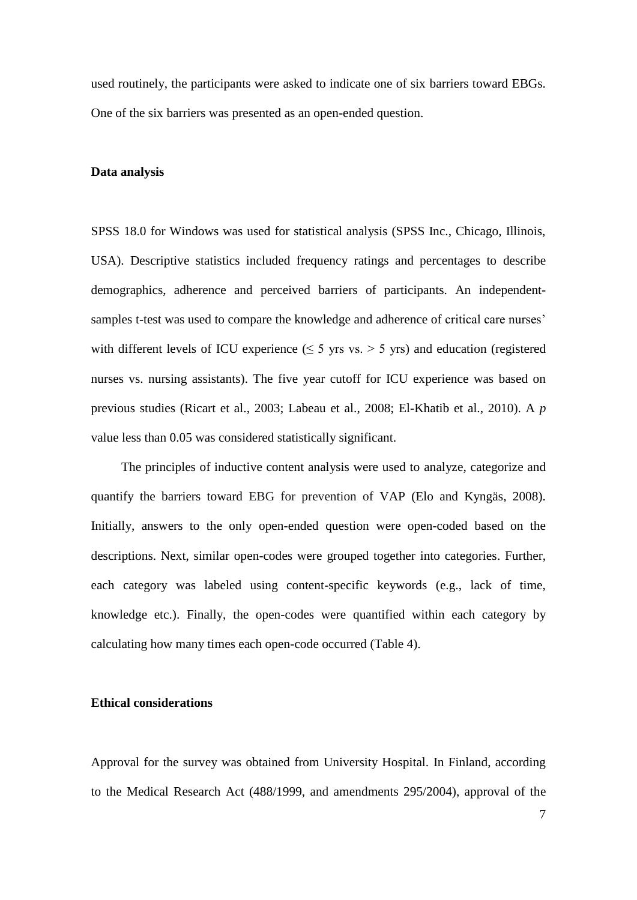used routinely, the participants were asked to indicate one of six barriers toward EBGs. One of the six barriers was presented as an open-ended question.

# **Data analysis**

SPSS 18.0 for Windows was used for statistical analysis (SPSS Inc., Chicago, Illinois, USA). Descriptive statistics included frequency ratings and percentages to describe demographics, adherence and perceived barriers of participants. An independentsamples t-test was used to compare the knowledge and adherence of critical care nurses' with different levels of ICU experience ( $\leq$  5 yrs vs. > 5 yrs) and education (registered nurses vs. nursing assistants). The five year cutoff for ICU experience was based on previous studies (Ricart et al., 2003; Labeau et al., 2008; El-Khatib et al., 2010). A *p* value less than 0.05 was considered statistically significant.

The principles of inductive content analysis were used to analyze, categorize and quantify the barriers toward EBG for prevention of VAP (Elo and Kyngäs, 2008). Initially, answers to the only open-ended question were open-coded based on the descriptions. Next, similar open-codes were grouped together into categories. Further, each category was labeled using content-specific keywords (e.g., lack of time, knowledge etc.). Finally, the open-codes were quantified within each category by calculating how many times each open-code occurred (Table 4).

# **Ethical considerations**

Approval for the survey was obtained from University Hospital. In Finland, according to the Medical Research Act (488/1999, and amendments 295/2004), approval of the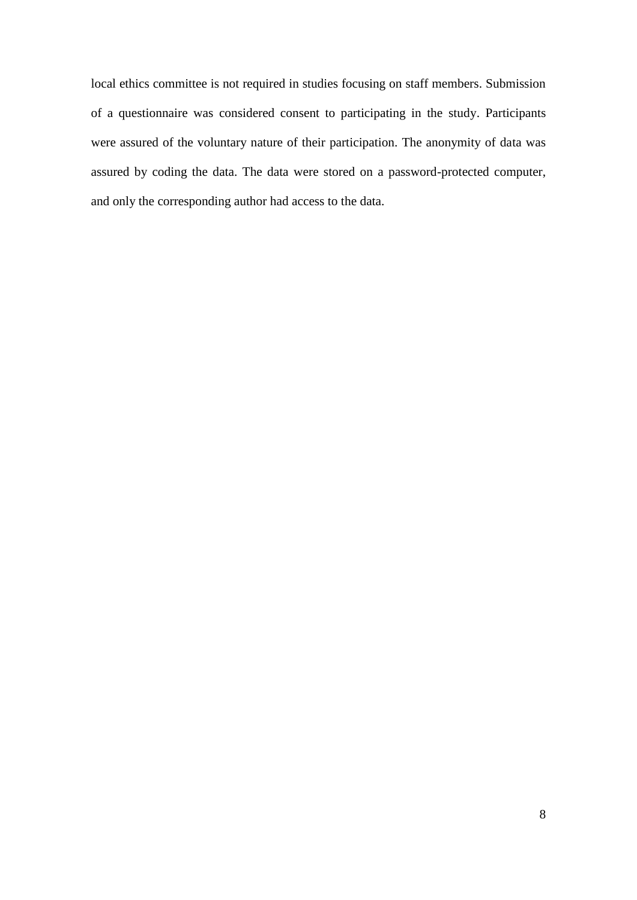local ethics committee is not required in studies focusing on staff members. Submission of a questionnaire was considered consent to participating in the study. Participants were assured of the voluntary nature of their participation. The anonymity of data was assured by coding the data. The data were stored on a password-protected computer, and only the corresponding author had access to the data.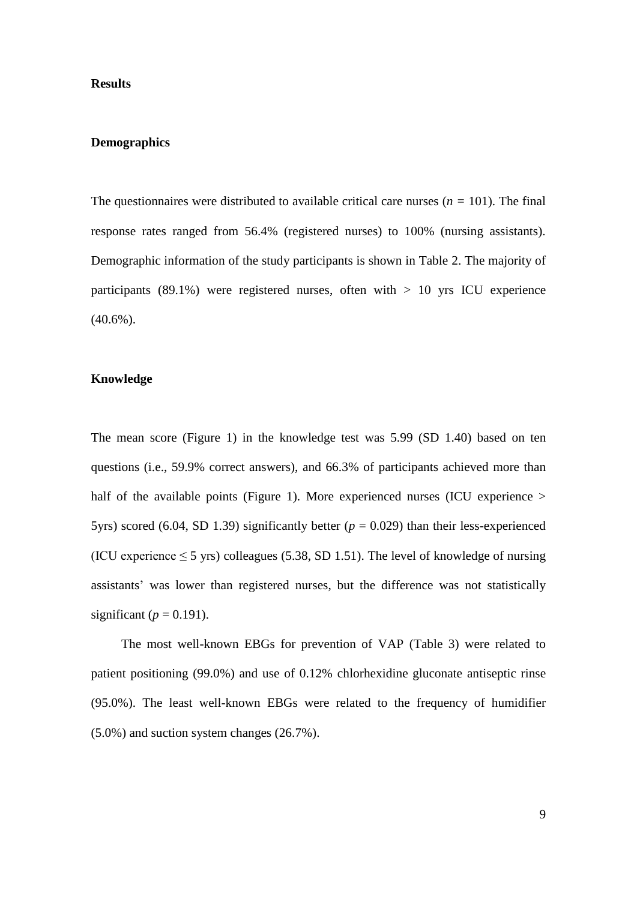# **Results**

## **Demographics**

The questionnaires were distributed to available critical care nurses  $(n = 101)$ . The final response rates ranged from 56.4% (registered nurses) to 100% (nursing assistants). Demographic information of the study participants is shown in Table 2. The majority of participants (89.1%) were registered nurses, often with  $> 10$  yrs ICU experience  $(40.6\%)$ .

# **Knowledge**

The mean score (Figure 1) in the knowledge test was 5.99 (SD 1.40) based on ten questions (i.e., 59.9% correct answers), and 66.3% of participants achieved more than half of the available points (Figure 1). More experienced nurses (ICU experience > 5yrs) scored (6.04, SD 1.39) significantly better  $(p = 0.029)$  than their less-experienced (ICU experience  $\leq$  5 yrs) colleagues (5.38, SD 1.51). The level of knowledge of nursing assistants' was lower than registered nurses, but the difference was not statistically significant ( $p = 0.191$ ).

The most well-known EBGs for prevention of VAP (Table 3) were related to patient positioning (99.0%) and use of 0.12% chlorhexidine gluconate antiseptic rinse (95.0%). The least well-known EBGs were related to the frequency of humidifier (5.0%) and suction system changes (26.7%).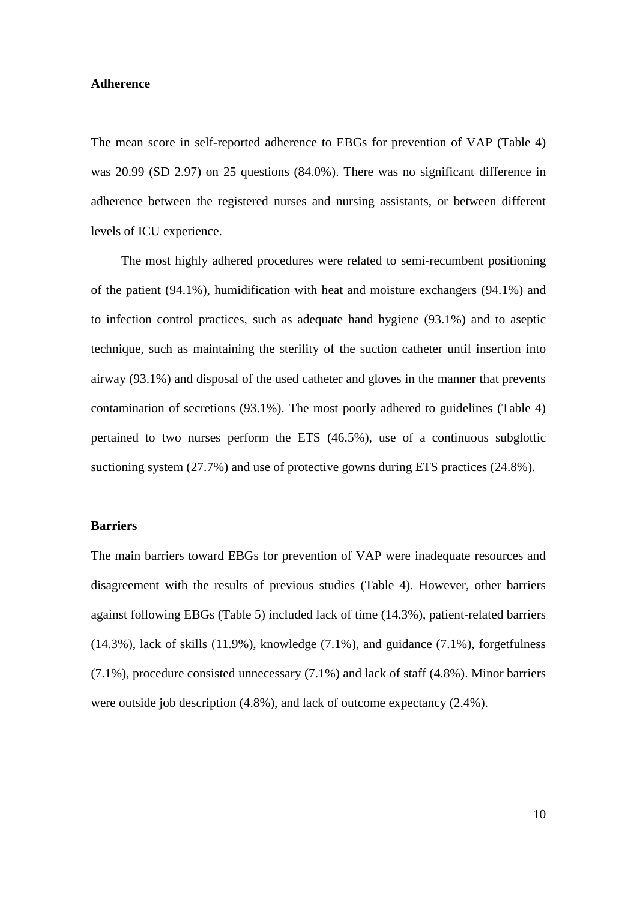#### **Adherence**

The mean score in self-reported adherence to EBGs for prevention of VAP (Table 4) was 20.99 (SD 2.97) on 25 questions (84.0%). There was no significant difference in adherence between the registered nurses and nursing assistants, or between different levels of ICU experience.

The most highly adhered procedures were related to semi-recumbent positioning of the patient (94.1%), humidification with heat and moisture exchangers (94.1%) and to infection control practices, such as adequate hand hygiene (93.1%) and to aseptic technique, such as maintaining the sterility of the suction catheter until insertion into airway (93.1%) and disposal of the used catheter and gloves in the manner that prevents contamination of secretions (93.1%). The most poorly adhered to guidelines (Table 4) pertained to two nurses perform the ETS (46.5%), use of a continuous subglottic suctioning system (27.7%) and use of protective gowns during ETS practices (24.8%).

#### **Barriers**

The main barriers toward EBGs for prevention of VAP were inadequate resources and disagreement with the results of previous studies (Table 4). However, other barriers against following EBGs (Table 5) included lack of time (14.3%), patient-related barriers (14.3%), lack of skills (11.9%), knowledge (7.1%), and guidance (7.1%), forgetfulness (7.1%), procedure consisted unnecessary (7.1%) and lack of staff (4.8%). Minor barriers were outside job description (4.8%), and lack of outcome expectancy (2.4%).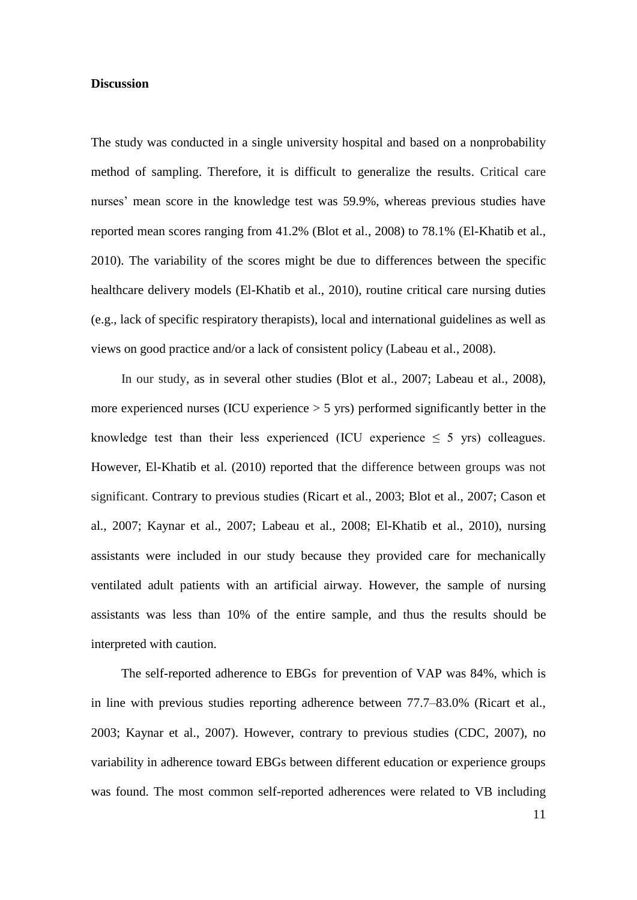## **Discussion**

The study was conducted in a single university hospital and based on a nonprobability method of sampling. Therefore, it is difficult to generalize the results. Critical care nurses' mean score in the knowledge test was 59.9%, whereas previous studies have reported mean scores ranging from 41.2% (Blot et al., 2008) to 78.1% (El-Khatib et al., 2010). The variability of the scores might be due to differences between the specific healthcare delivery models (El-Khatib et al., 2010), routine critical care nursing duties (e.g., lack of specific respiratory therapists), local and international guidelines as well as views on good practice and/or a lack of consistent policy (Labeau et al., 2008).

In our study, as in several other studies (Blot et al., 2007; Labeau et al., 2008), more experienced nurses (ICU experience  $> 5$  yrs) performed significantly better in the knowledge test than their less experienced (ICU experience  $\leq$  5 yrs) colleagues. However, El-Khatib et al. (2010) reported that the difference between groups was not significant. Contrary to previous studies (Ricart et al., 2003; Blot et al., 2007; Cason et al., 2007; Kaynar et al., 2007; Labeau et al., 2008; El-Khatib et al., 2010), nursing assistants were included in our study because they provided care for mechanically ventilated adult patients with an artificial airway. However, the sample of nursing assistants was less than 10% of the entire sample, and thus the results should be interpreted with caution.

The self-reported adherence to EBGs for prevention of VAP was 84%, which is in line with previous studies reporting adherence between 77.7–83.0% (Ricart et al., 2003; Kaynar et al., 2007). However, contrary to previous studies (CDC, 2007), no variability in adherence toward EBGs between different education or experience groups was found. The most common self-reported adherences were related to VB including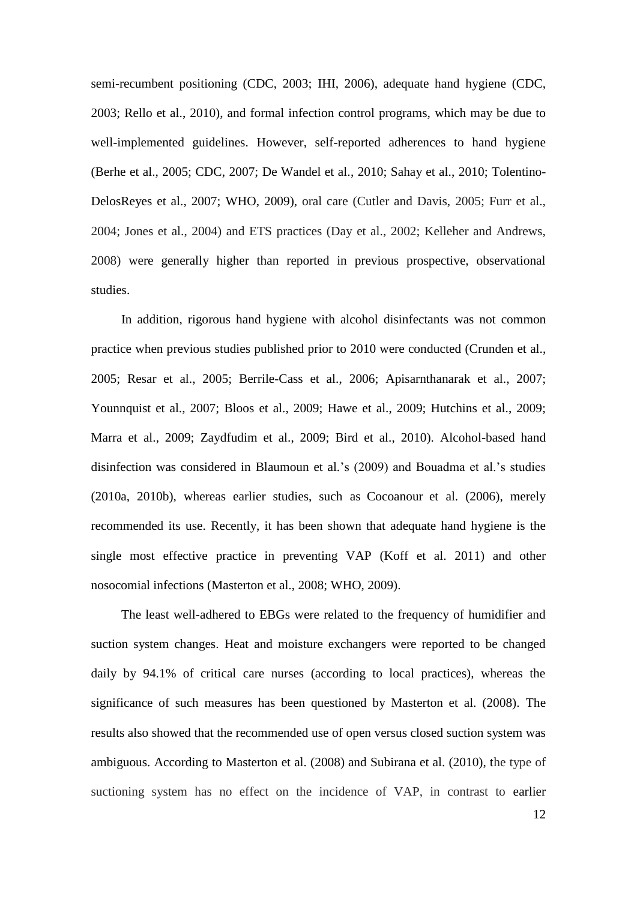semi-recumbent positioning (CDC, 2003; IHI, 2006), adequate hand hygiene (CDC, 2003; Rello et al., 2010), and formal infection control programs, which may be due to well-implemented guidelines. However, self-reported adherences to hand hygiene (Berhe et al., 2005; CDC, 2007; De Wandel et al., 2010; Sahay et al., 2010; Tolentino-DelosReyes et al., 2007; WHO, 2009), oral care (Cutler and Davis, 2005; Furr et al., 2004; Jones et al., 2004) and ETS practices (Day et al., 2002; Kelleher and Andrews, 2008) were generally higher than reported in previous prospective, observational studies.

In addition, rigorous hand hygiene with alcohol disinfectants was not common practice when previous studies published prior to 2010 were conducted (Crunden et al., 2005; Resar et al., 2005; Berrile-Cass et al., 2006; Apisarnthanarak et al., 2007; Younnquist et al., 2007; Bloos et al., 2009; Hawe et al., 2009; Hutchins et al., 2009; Marra et al., 2009; Zaydfudim et al., 2009; Bird et al., 2010). Alcohol-based hand disinfection was considered in Blaumoun et al.'s (2009) and Bouadma et al.'s studies (2010a, 2010b), whereas earlier studies, such as Cocoanour et al. (2006), merely recommended its use. Recently, it has been shown that adequate hand hygiene is the single most effective practice in preventing VAP (Koff et al. 2011) and other nosocomial infections (Masterton et al., 2008; WHO, 2009).

The least well-adhered to EBGs were related to the frequency of humidifier and suction system changes. Heat and moisture exchangers were reported to be changed daily by 94.1% of critical care nurses (according to local practices), whereas the significance of such measures has been questioned by Masterton et al. (2008). The results also showed that the recommended use of open versus closed suction system was ambiguous. According to Masterton et al. (2008) and Subirana et al. (2010), the type of suctioning system has no effect on the incidence of VAP, in contrast to earlier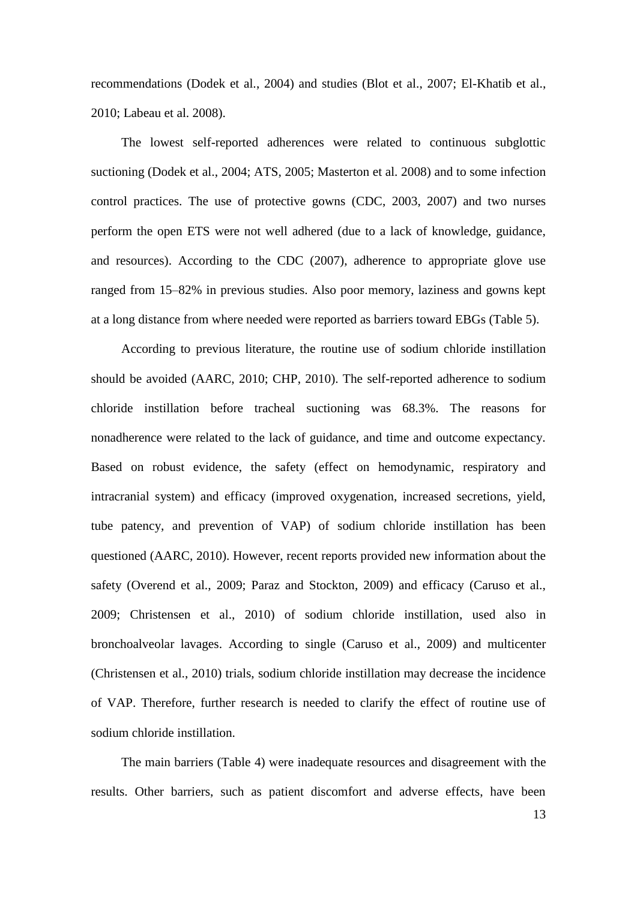recommendations (Dodek et al., 2004) and studies (Blot et al., 2007; El-Khatib et al., 2010; Labeau et al. 2008).

The lowest self-reported adherences were related to continuous subglottic suctioning (Dodek et al., 2004; ATS, 2005; Masterton et al. 2008) and to some infection control practices. The use of protective gowns (CDC, 2003, 2007) and two nurses perform the open ETS were not well adhered (due to a lack of knowledge, guidance, and resources). According to the CDC (2007), adherence to appropriate glove use ranged from 15–82% in previous studies. Also poor memory, laziness and gowns kept at a long distance from where needed were reported as barriers toward EBGs (Table 5).

According to previous literature, the routine use of sodium chloride instillation should be avoided (AARC, 2010; CHP, 2010). The self-reported adherence to sodium chloride instillation before tracheal suctioning was 68.3%. The reasons for nonadherence were related to the lack of guidance, and time and outcome expectancy. Based on robust evidence, the safety (effect on hemodynamic, respiratory and intracranial system) and efficacy (improved oxygenation, increased secretions, yield, tube patency, and prevention of VAP) of sodium chloride instillation has been questioned (AARC, 2010). However, recent reports provided new information about the safety (Overend et al., 2009; Paraz and Stockton, 2009) and efficacy (Caruso et al., 2009; [Christensen](javascript:__doLinkPostBack() et al., 2010) of sodium chloride instillation, used also in bronchoalveolar lavages. According to single (Caruso et al., 2009) and multicenter [\(Christensen](javascript:__doLinkPostBack() et al., 2010) trials, sodium chloride instillation may decrease the incidence of VAP. Therefore, further research is needed to clarify the effect of routine use of sodium chloride instillation.

The main barriers (Table 4) were inadequate resources and disagreement with the results. Other barriers, such as patient discomfort and adverse effects, have been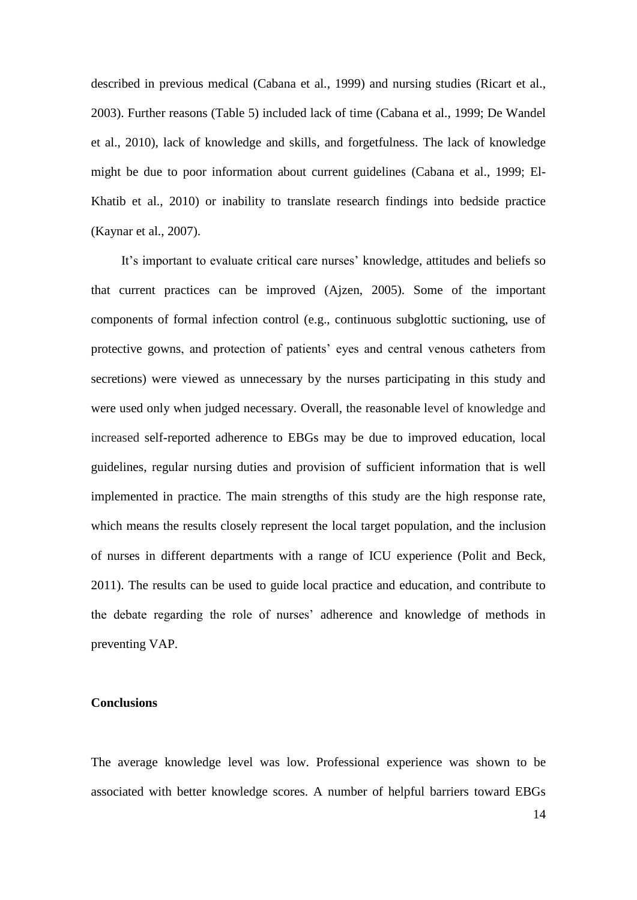described in previous medical (Cabana et al., 1999) and nursing studies (Ricart et al., 2003). Further reasons (Table 5) included lack of time (Cabana et al., 1999; De Wandel et al., 2010), lack of knowledge and skills, and forgetfulness. The lack of knowledge might be due to poor information about current guidelines (Cabana et al., 1999; El-Khatib et al., 2010) or inability to translate research findings into bedside practice (Kaynar et al., 2007).

It's important to evaluate critical care nurses' knowledge, attitudes and beliefs so that current practices can be improved (Ajzen, 2005). Some of the important components of formal infection control (e.g., continuous subglottic suctioning, use of protective gowns, and protection of patients' eyes and central venous catheters from secretions) were viewed as unnecessary by the nurses participating in this study and were used only when judged necessary. Overall, the reasonable level of knowledge and increased self-reported adherence to EBGs may be due to improved education, local guidelines, regular nursing duties and provision of sufficient information that is well implemented in practice. The main strengths of this study are the high response rate, which means the results closely represent the local target population, and the inclusion of nurses in different departments with a range of ICU experience (Polit and Beck, 2011). The results can be used to guide local practice and education, and contribute to the debate regarding the role of nurses' adherence and knowledge of methods in preventing VAP.

# **Conclusions**

The average knowledge level was low. Professional experience was shown to be associated with better knowledge scores. A number of helpful barriers toward EBGs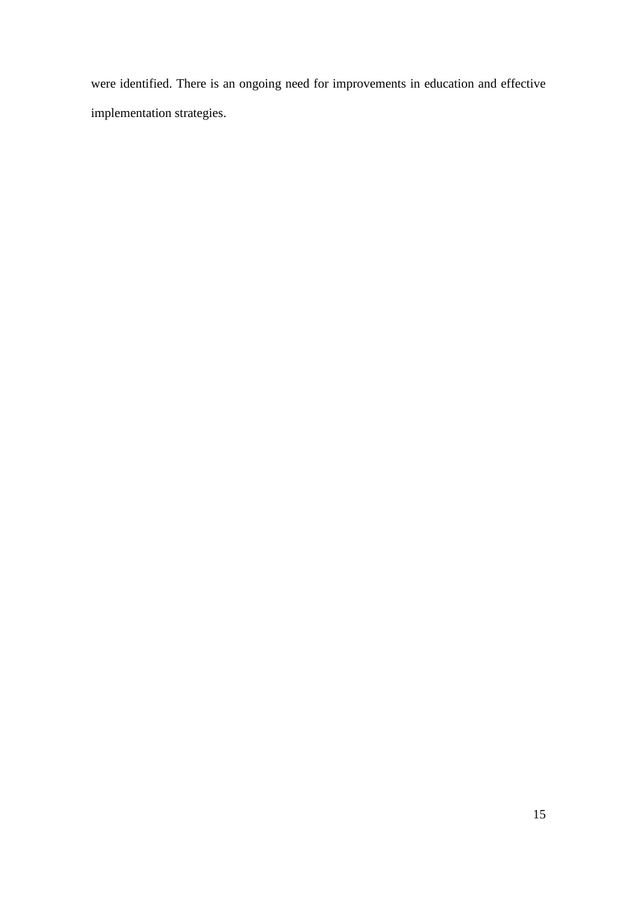were identified. There is an ongoing need for improvements in education and effective implementation strategies.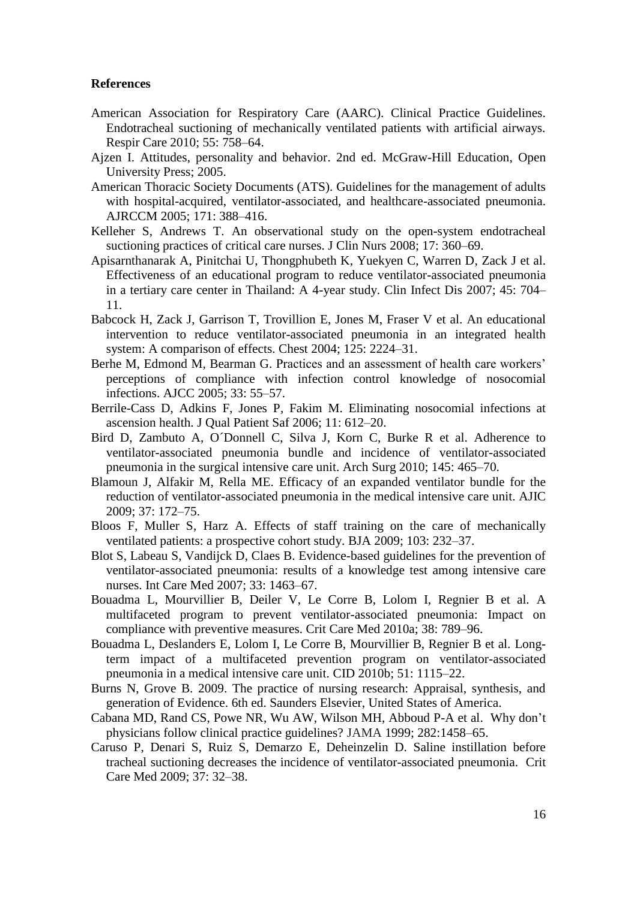# **References**

- American Association for Respiratory Care (AARC). Clinical Practice Guidelines. Endotracheal suctioning of mechanically ventilated patients with artificial airways. Respir Care 2010; 55: 758–64.
- Ajzen I. Attitudes, personality and behavior. 2nd ed. McGraw-Hill Education, Open University Press; 2005.
- American Thoracic Society Documents (ATS). Guidelines for the management of adults with hospital-acquired, ventilator-associated, and healthcare-associated pneumonia. AJRCCM 2005; 171: 388–416.
- Kelleher S, Andrews T. An observational study on the open-system endotracheal suctioning practices of critical care nurses. J Clin Nurs 2008; 17: 360–69.
- Apisarnthanarak A, Pinitchai U, Thongphubeth K, Yuekyen C, Warren D, Zack J et al. Effectiveness of an educational program to reduce ventilator-associated pneumonia in a tertiary care center in Thailand: A 4-year study. Clin Infect Dis 2007; 45: 704– 11.
- Babcock H, Zack J, Garrison T, Trovillion E, Jones M, Fraser V et al. An educational intervention to reduce ventilator-associated pneumonia in an integrated health system: A comparison of effects. Chest 2004; 125: 2224–31.
- Berhe M, Edmond M, Bearman G. Practices and an assessment of health care workers' perceptions of compliance with infection control knowledge of nosocomial infections. AJCC 2005; 33: 55–57.
- Berrile-Cass D, Adkins F, Jones P, Fakim M. Eliminating nosocomial infections at ascension health. J Qual Patient Saf 2006; 11: 612–20.
- Bird D, Zambuto A, O´Donnell C, Silva J, Korn C, Burke R et al. Adherence to ventilator-associated pneumonia bundle and incidence of ventilator-associated pneumonia in the surgical intensive care unit. Arch Surg 2010; 145: 465–70.
- Blamoun J, Alfakir M, Rella ME. Efficacy of an expanded ventilator bundle for the reduction of ventilator-associated pneumonia in the medical intensive care unit. AJIC 2009; 37: 172–75.
- Bloos F, Muller S, Harz A. Effects of staff training on the care of mechanically ventilated patients: a prospective cohort study. [BJA](http://sfx.nelliportaali.fi/nelli28b?url_ver=Z39.88-2004&url_ctx_fmt=infofi/fmt:kev:mtx:ctx&ctx_enc=info:ofi/enc:UTF-8&ctx_ver=Z39.88-2004&rfr_id=info:sid/sfxit.com:azlist&sfx.ignore_date_threshold=1&rft.object_id=954925386144&rft.object_portfolio_id=) 2009; 103: 232–37.
- Blot S, Labeau S, Vandijck D, Claes B. Evidence-based guidelines for the prevention of ventilator-associated pneumonia: results of a knowledge test among intensive care nurses. Int Care Med 2007; 33: 1463–67.
- Bouadma L, Mourvillier B, Deiler V, Le Corre B, Lolom I, Regnier B et al. A multifaceted program to prevent ventilator-associated pneumonia: Impact on compliance with preventive measures. Crit Care Med 2010a; 38: 789–96.
- Bouadma L, Deslanders E, Lolom I, Le Corre B, Mourvillier B, Regnier B et al. Longterm impact of a multifaceted prevention program on ventilator-associated pneumonia in a medical intensive care unit. CID 2010b; 51: 1115–22.
- Burns N, Grove B. 2009. The practice of nursing research: Appraisal, synthesis, and generation of Evidence. 6th ed. Saunders Elsevier, United States of America.
- Cabana MD, Rand CS, Powe NR, Wu AW, Wilson MH, Abboud P-A et al. Why don't physicians follow clinical practice guidelines? JAMA 1999; 282:1458–65.
- Caruso P, Denari S, Ruiz S, Demarzo E, Deheinzelin D. Saline instillation before tracheal suctioning decreases the incidence of ventilator-associated pneumonia. Crit Care Med 2009; 37: 32–38.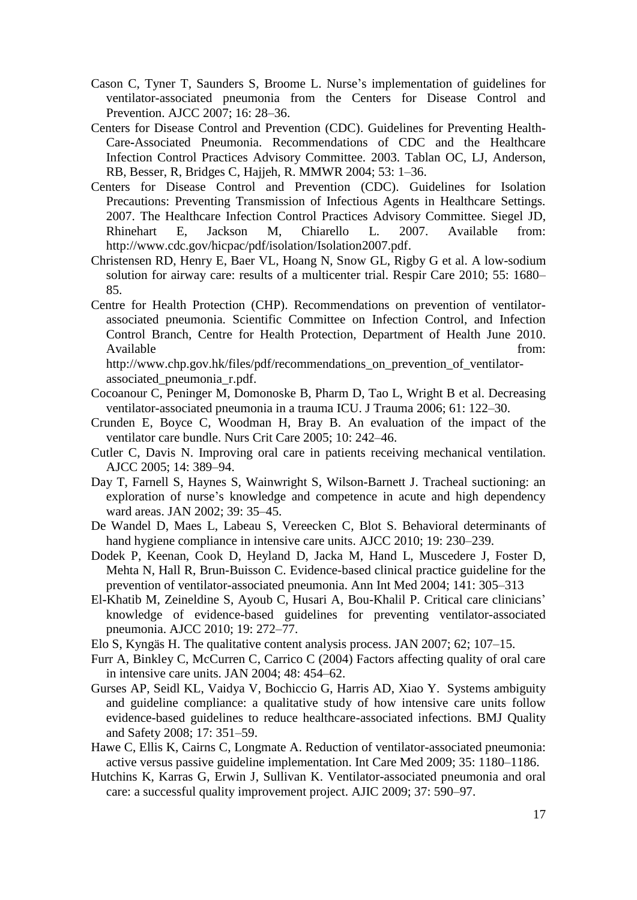- Cason C, Tyner T, Saunders S, Broome L. Nurse's implementation of guidelines for ventilator-associated pneumonia from the Centers for Disease Control and Prevention. AJCC 2007; 16: 28–36.
- Centers for Disease Control and Prevention (CDC). Guidelines for Preventing Health-Care**-**Associated Pneumonia. Recommendations of CDC and the Healthcare Infection Control Practices Advisory Committee. 2003. Tablan OC, LJ, Anderson, RB, Besser, R, Bridges C, Hajjeh, R. MMWR 2004; 53: 1–36.
- Centers for Disease Control and Prevention (CDC). Guidelines for Isolation Precautions: Preventing Transmission of Infectious Agents in Healthcare Settings. 2007. The Healthcare Infection Control Practices Advisory Committee. Siegel JD, Rhinehart E, Jackson M, Chiarello L. 2007. Available from: http://www.cdc.gov/hicpac/pdf/isolation/Isolation2007.pdf.
- Christensen RD, Henry E, Baer VL, Hoang N, Snow GL, Rigby G et al. A low-sodium solution for airway care: results of a multicenter trial. Respir Care 2010; 55: 1680– 85.
- Centre for Health Protection (CHP). Recommendations on prevention of ventilatorassociated pneumonia. Scientific Committee on Infection Control, and Infection Control Branch, Centre for Health Protection, Department of Health June 2010. Available from:

http://www.chp.gov.hk/files/pdf/recommendations\_on\_prevention\_of\_ventilatorassociated\_pneumonia\_r.pdf.

- Cocoanour C, Peninger M, Domonoske B, Pharm D, Tao L, Wright B et al. Decreasing ventilator-associated pneumonia in a trauma ICU. J Trauma 2006; 61: 122–30.
- Crunden E, Boyce C, Woodman H, Bray B. An evaluation of the impact of the ventilator care bundle. Nurs Crit Care 2005; 10: 242–46.
- Cutler C, Davis N. Improving oral care in patients receiving mechanical ventilation. AJCC 2005; 14: 389–94.
- Day T, Farnell S, Haynes S, Wainwright S, Wilson-Barnett J. Tracheal suctioning: an exploration of nurse's knowledge and competence in acute and high dependency ward areas. JAN 2002; 39: 35–45.
- De Wandel D, Maes L, Labeau S, Vereecken C, Blot S. Behavioral determinants of hand hygiene compliance in intensive care units. AJCC 2010; 19: 230–239.
- Dodek P, Keenan, Cook D, Heyland D, Jacka M, Hand L, Muscedere J, Foster D, Mehta N, Hall R, Brun-Buisson C. Evidence-based clinical practice guideline for the prevention of ventilator-associated pneumonia. Ann Int Med 2004; 141: 305–313
- El-Khatib M, Zeineldine S, Ayoub C, Husari A, Bou-Khalil P. Critical care clinicians' knowledge of evidence-based guidelines for preventing ventilator-associated pneumonia. AJCC 2010; 19: 272–77.
- Elo S, Kyngäs H. The qualitative content analysis process. JAN 2007; 62; 107–15.
- Furr A, Binkley C, McCurren C, Carrico C (2004) Factors affecting quality of oral care in intensive care units. JAN 2004; 48: 454–62.
- Gurses AP, Seidl KL, Vaidya V, Bochiccio G, Harris AD, Xiao Y. Systems ambiguity and guideline compliance: a qualitative study of how intensive care units follow evidence-based guidelines to reduce healthcare-associated infections. BMJ Quality and Safety 2008; 17: 351–59.
- Hawe C, Ellis K, Cairns C, Longmate A. Reduction of ventilator-associated pneumonia: active versus passive guideline implementation. Int Care Med 2009; 35: 1180–1186.
- Hutchins K, Karras G, Erwin J, Sullivan K. Ventilator-associated pneumonia and oral care: a successful quality improvement project. AJIC 2009; 37: 590–97.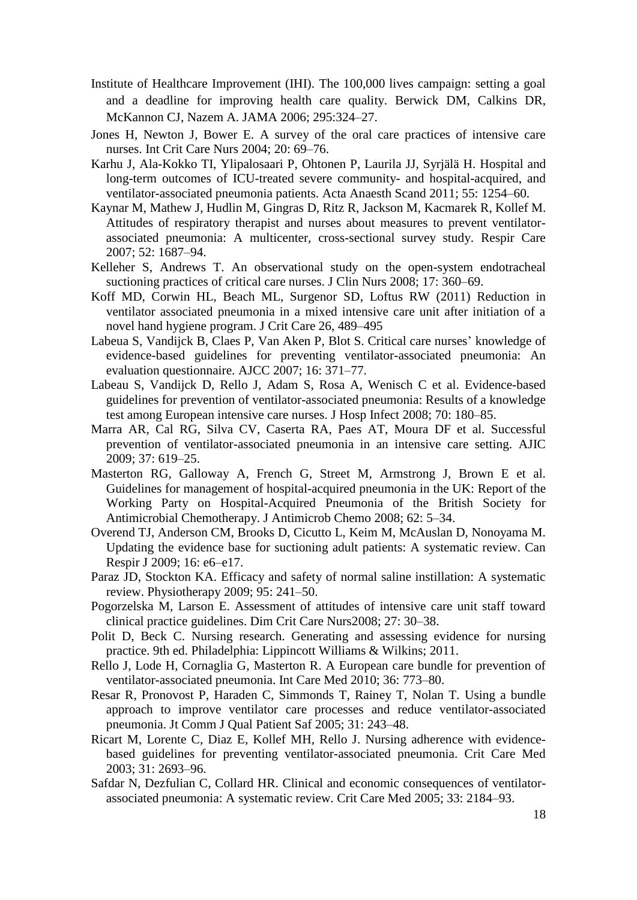- Institute of Healthcare Improvement (IHI). The 100,000 lives campaign: setting a goal and a deadline for improving health care quality. Berwick DM, Calkins DR, McKannon CJ, Nazem A. JAMA 2006; 295:324–27.
- Jones H, Newton J, Bower E. A survey of the oral care practices of intensive care nurses. Int Crit Care Nurs 2004; 20: 69–76.
- Karhu J, Ala-Kokko TI, Ylipalosaari P, Ohtonen P, Laurila JJ, Syrjälä H. Hospital and long-term outcomes of ICU-treated severe community- and hospital-acquired, and ventilator-associated pneumonia patients. Acta Anaesth Scand 2011; 55: 1254–60.
- Kaynar M, Mathew J, Hudlin M, Gingras D, Ritz R, Jackson M, Kacmarek R, Kollef M. Attitudes of respiratory therapist and nurses about measures to prevent ventilatorassociated pneumonia: A multicenter, cross-sectional survey study. Respir Care 2007; 52: 1687–94.
- Kelleher S, Andrews T. An observational study on the open-system endotracheal suctioning practices of critical care nurses. J Clin Nurs 2008; 17: 360–69.
- Koff MD, Corwin HL, Beach ML, Surgenor SD, Loftus RW (2011) Reduction in ventilator associated pneumonia in a mixed intensive care unit after initiation of a novel hand hygiene program. J Crit Care 26, 489–495
- Labeua S, Vandijck B, Claes P, Van Aken P, Blot S. Critical care nurses' knowledge of evidence-based guidelines for preventing ventilator-associated pneumonia: An evaluation questionnaire. AJCC 2007; 16: 371–77.
- Labeau S, Vandijck D, Rello J, Adam S, Rosa A, Wenisch C et al. Evidence-based guidelines for prevention of ventilator-associated pneumonia: Results of a knowledge test among European intensive care nurses. J Hosp Infect 2008; 70: 180–85.
- Marra AR, Cal RG, Silva CV, Caserta RA, Paes AT, Moura DF et al. Successful prevention of ventilator-associated pneumonia in an intensive care setting. AJIC 2009; 37: 619–25.
- Masterton RG, Galloway A, French G, Street M, Armstrong J, Brown E et al. Guidelines for management of hospital-acquired pneumonia in the UK: Report of the Working Party on Hospital-Acquired Pneumonia of the British Society for Antimicrobial Chemotherapy. J Antimicrob Chemo 2008; 62: 5–34.
- Overend TJ, Anderson CM, Brooks D, Cicutto L, Keim M, McAuslan D, Nonoyama M. Updating the evidence base for suctioning adult patients: A systematic review. Can Respir J 2009; 16: e6–e17.
- Paraz JD, Stockton KA. Efficacy and safety of normal saline instillation: A systematic review. Physiotherapy 2009; 95: 241–50.
- Pogorzelska M, Larson E. Assessment of attitudes of intensive care unit staff toward clinical practice guidelines. Dim Crit Care Nurs2008; 27: 30–38.
- Polit D, Beck C. Nursing research. Generating and assessing evidence for nursing practice. 9th ed. Philadelphia: Lippincott Williams & Wilkins; 2011.
- Rello J, Lode H, Cornaglia G, Masterton R. A European care bundle for prevention of ventilator-associated pneumonia. Int Care Med 2010; 36: 773–80.
- Resar R, Pronovost P, Haraden C, Simmonds T, Rainey T, Nolan T. Using a bundle approach to improve ventilator care processes and reduce ventilator-associated pneumonia. Jt Comm J Qual Patient Saf 2005; 31: 243–48.
- Ricart M, Lorente C, Diaz E, Kollef MH, Rello J. Nursing adherence with evidencebased guidelines for preventing ventilator-associated pneumonia. Crit Care Med 2003; 31: 2693–96.
- Safdar N, Dezfulian C, Collard HR. Clinical and economic consequences of ventilatorassociated pneumonia: A systematic review. Crit Care Med 2005; 33: 2184–93.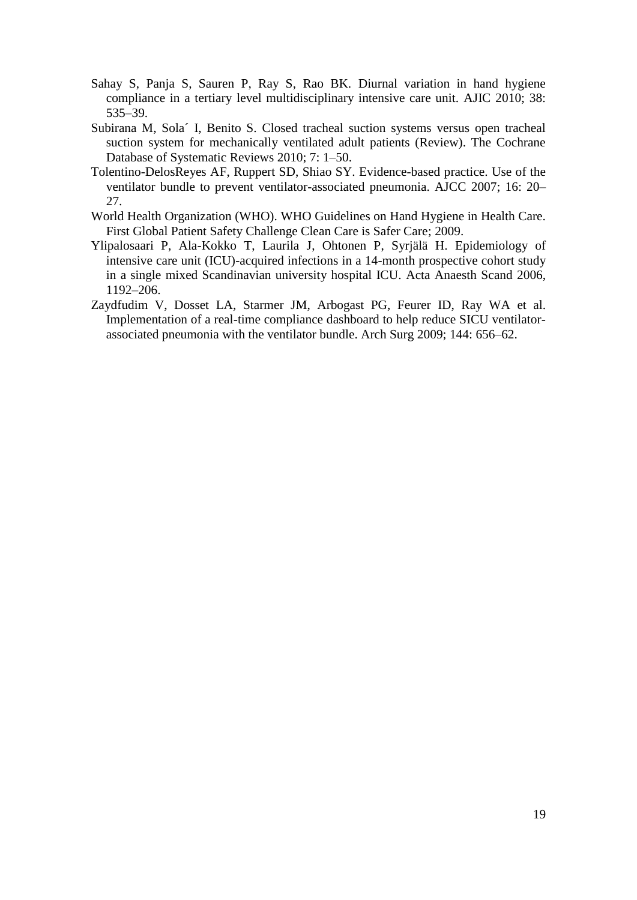- Sahay S, Panja S, Sauren P, Ray S, Rao BK. Diurnal variation in hand hygiene compliance in a tertiary level multidisciplinary intensive care unit. AJIC 2010; 38: 535–39.
- Subirana M, Sola´ I, Benito S. Closed tracheal suction systems versus open tracheal suction system for mechanically ventilated adult patients (Review). The Cochrane Database of Systematic Reviews 2010; 7: 1–50.
- Tolentino-DelosReyes AF, Ruppert SD, Shiao SY. Evidence-based practice. Use of the ventilator bundle to prevent ventilator-associated pneumonia. AJCC 2007; 16: 20– 27.
- World Health Organization (WHO). WHO Guidelines on Hand Hygiene in Health Care. First Global Patient Safety Challenge Clean Care is Safer Care; 2009.
- Ylipalosaari P, Ala-Kokko T, Laurila J, Ohtonen P, Syrjälä H. Epidemiology of intensive care unit (ICU)-acquired infections in a 14-month prospective cohort study in a single mixed Scandinavian university hospital ICU. Acta Anaesth Scand 2006, 1192–206.
- Zaydfudim V, Dosset LA, Starmer JM, Arbogast PG, Feurer ID, Ray WA et al. Implementation of a real-time compliance dashboard to help reduce SICU ventilatorassociated pneumonia with the ventilator bundle. Arch Surg 2009; 144: 656–62.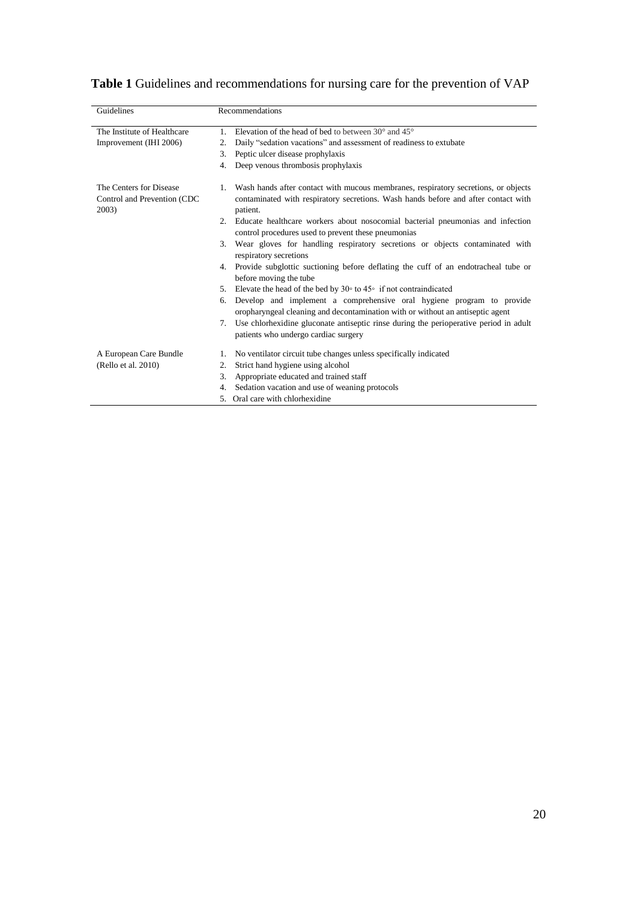| Guidelines                                                      | <b>Recommendations</b>                                                                                                                                                                     |
|-----------------------------------------------------------------|--------------------------------------------------------------------------------------------------------------------------------------------------------------------------------------------|
| The Institute of Healthcare                                     | Elevation of the head of bed to between $30^{\circ}$ and $45^{\circ}$<br>1                                                                                                                 |
| Improvement (IHI 2006)                                          | Daily "sedation vacations" and assessment of readiness to extubate<br>2.                                                                                                                   |
|                                                                 | Peptic ulcer disease prophylaxis<br>3.                                                                                                                                                     |
|                                                                 | Deep venous thrombosis prophylaxis<br>4.                                                                                                                                                   |
| The Centers for Disease<br>Control and Prevention (CDC<br>2003) | Wash hands after contact with mucous membranes, respiratory secretions, or objects<br>1.<br>contaminated with respiratory secretions. Wash hands before and after contact with<br>patient. |
|                                                                 | 2. Educate healthcare workers about nosocomial bacterial pneumonias and infection<br>control procedures used to prevent these pneumonias                                                   |
|                                                                 | 3. Wear gloves for handling respiratory secretions or objects contaminated with<br>respiratory secretions                                                                                  |
|                                                                 | 4. Provide subglottic suctioning before deflating the cuff of an endotracheal tube or<br>before moving the tube                                                                            |
|                                                                 | Elevate the head of the bed by $30^{\circ}$ to $45^{\circ}$ if not contraindicated<br>5.                                                                                                   |
|                                                                 | Develop and implement a comprehensive oral hygiene program to provide<br>6.<br>oropharyngeal cleaning and decontamination with or without an antiseptic agent                              |
|                                                                 | Use chlorhexidine gluconate antiseptic rinse during the perioperative period in adult<br>7.<br>patients who undergo cardiac surgery                                                        |
| A European Care Bundle                                          | No ventilator circuit tube changes unless specifically indicated<br>1.                                                                                                                     |
| (Rello et al. 2010)                                             | Strict hand hygiene using alcohol<br>2.                                                                                                                                                    |
|                                                                 | Appropriate educated and trained staff<br>3.                                                                                                                                               |
|                                                                 | Sedation vacation and use of weaning protocols<br>4.                                                                                                                                       |
|                                                                 | Oral care with chlorhexidine<br>5.                                                                                                                                                         |

| Table 1 Guidelines and recommendations for nursing care for the prevention of VAP |  |
|-----------------------------------------------------------------------------------|--|
|-----------------------------------------------------------------------------------|--|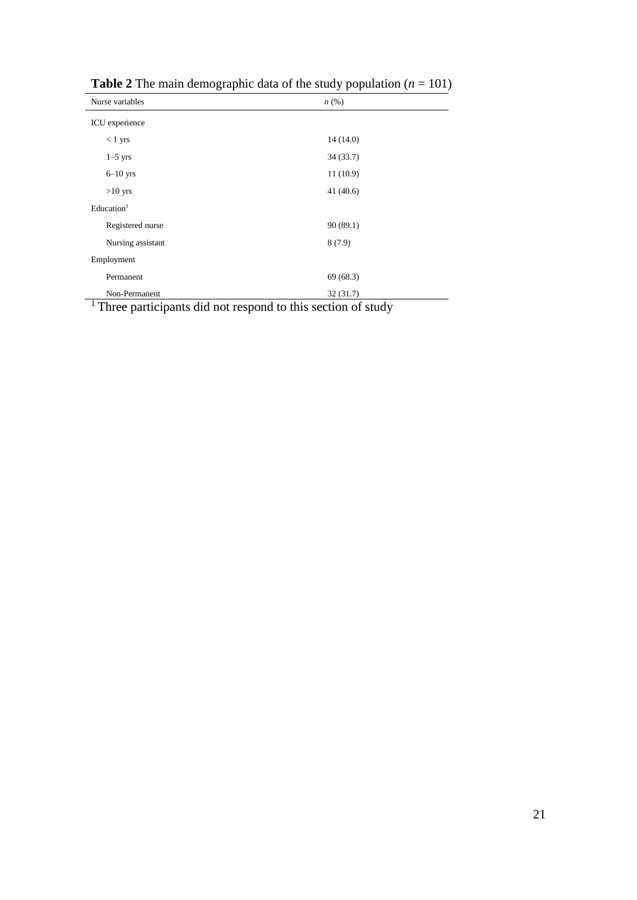| Nurse variables<br>$n\left(\%\right)$ |             |  |  |
|---------------------------------------|-------------|--|--|
| ICU experience                        |             |  |  |
| $<$ 1 yrs                             | 14(14.0)    |  |  |
| $1-5$ yrs                             | 34(33.7)    |  |  |
| $6-10$ yrs                            | 11(10.9)    |  |  |
| $>10$ yrs                             | 41 $(40.6)$ |  |  |
| Education <sup>1</sup>                |             |  |  |
| Registered nurse                      | 90 (89.1)   |  |  |
| Nursing assistant                     | 8(7.9)      |  |  |
| Employment                            |             |  |  |
| Permanent                             | 69(68.3)    |  |  |
| Non-Permanent                         | 32(31.7)    |  |  |

**Table 2** The main demographic data of the study population  $(n = 101)$ 

<sup>1</sup> Three participants did not respond to this section of study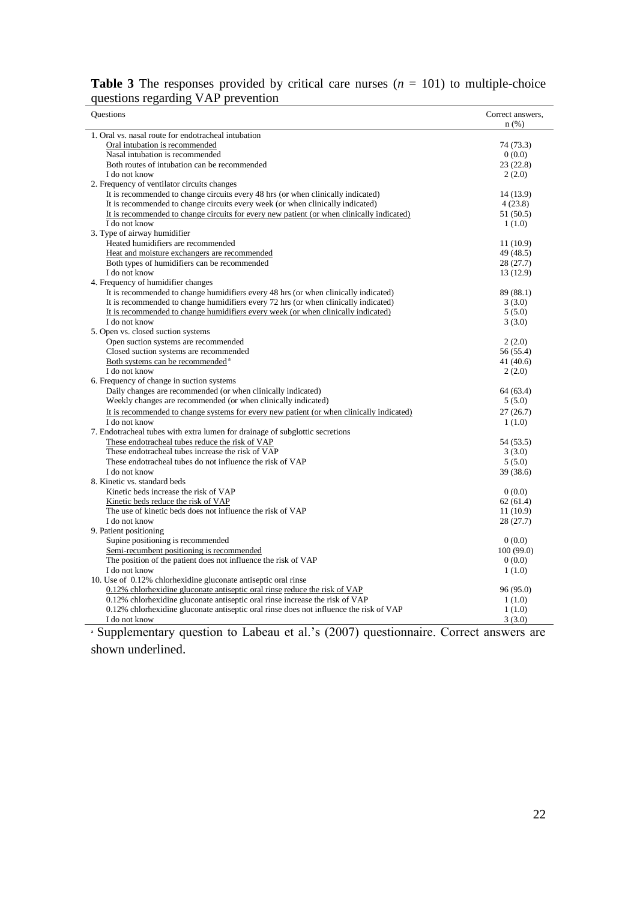|                                    | <b>Table 3</b> The responses provided by critical care nurses $(n = 101)$ to multiple-choice |
|------------------------------------|----------------------------------------------------------------------------------------------|
| questions regarding VAP prevention |                                                                                              |

| questions regarding<br>$\mathbf{v}$ $\mathbf{v}$                                          |                  |
|-------------------------------------------------------------------------------------------|------------------|
| <b>Questions</b>                                                                          | Correct answers, |
|                                                                                           | $n$ (%)          |
| 1. Oral vs. nasal route for endotracheal intubation                                       |                  |
| Oral intubation is recommended                                                            | 74 (73.3)        |
| Nasal intubation is recommended                                                           | 0(0.0)           |
| Both routes of intubation can be recommended                                              | 23(22.8)         |
| I do not know                                                                             | 2(2.0)           |
| 2. Frequency of ventilator circuits changes                                               |                  |
| It is recommended to change circuits every 48 hrs (or when clinically indicated)          | 14 (13.9)        |
| It is recommended to change circuits every week (or when clinically indicated)            | 4(23.8)          |
| It is recommended to change circuits for every new patient (or when clinically indicated) | 51 (50.5)        |
| I do not know                                                                             | 1(1.0)           |
| 3. Type of airway humidifier                                                              |                  |
| Heated humidifiers are recommended                                                        | 11(10.9)         |
| Heat and moisture exchangers are recommended                                              | 49 (48.5)        |
| Both types of humidifiers can be recommended                                              | 28(27.7)         |
| I do not know                                                                             | 13 (12.9)        |
| 4. Frequency of humidifier changes                                                        |                  |
| It is recommended to change humidifiers every 48 hrs (or when clinically indicated)       | 89 (88.1)        |
| It is recommended to change humidifiers every 72 hrs (or when clinically indicated)       | 3(3.0)           |
| It is recommended to change humidifiers every week (or when clinically indicated)         | 5(5.0)           |
| I do not know                                                                             | 3(3.0)           |
| 5. Open vs. closed suction systems                                                        |                  |
| Open suction systems are recommended                                                      | 2(2.0)           |
| Closed suction systems are recommended                                                    | 56 (55.4)        |
| Both systems can be recommended <sup>a</sup>                                              | 41 (40.6)        |
| I do not know                                                                             | 2(2.0)           |
| 6. Frequency of change in suction systems                                                 |                  |
| Daily changes are recommended (or when clinically indicated)                              | 64 (63.4)        |
| Weekly changes are recommended (or when clinically indicated)                             | 5(5.0)           |
| It is recommended to change systems for every new patient (or when clinically indicated)  | 27(26.7)         |
| I do not know                                                                             | 1(1.0)           |
| 7. Endotracheal tubes with extra lumen for drainage of subglottic secretions              |                  |
| These endotracheal tubes reduce the risk of VAP                                           | 54 (53.5)        |
| These endotracheal tubes increase the risk of VAP                                         | 3(3.0)           |
| These endotracheal tubes do not influence the risk of VAP                                 | 5(5.0)           |
| I do not know                                                                             | 39 (38.6)        |
| 8. Kinetic vs. standard beds                                                              |                  |
| Kinetic beds increase the risk of VAP                                                     | 0(0.0)           |
| Kinetic beds reduce the risk of VAP                                                       | 62(61.4)         |
| The use of kinetic beds does not influence the risk of VAP                                | 11(10.9)         |
| I do not know                                                                             | 28(27.7)         |
| 9. Patient positioning                                                                    |                  |
| Supine positioning is recommended                                                         | 0(0.0)           |
| Semi-recumbent positioning is recommended                                                 | 100(99.0)        |
| The position of the patient does not influence the risk of VAP                            | 0(0.0)           |
| I do not know                                                                             | 1(1.0)           |
| 10. Use of 0.12% chlorhexidine gluconate antiseptic oral rinse                            |                  |
| 0.12% chlorhexidine gluconate antiseptic oral rinse reduce the risk of VAP                | 96 (95.0)        |
| 0.12% chlorhexidine gluconate antiseptic oral rinse increase the risk of VAP              | 1(1.0)           |
| 0.12% chlorhexidine gluconate antiseptic oral rinse does not influence the risk of VAP    | 1(1.0)           |
| I do not know                                                                             | 3(3.0)           |

<sup>a</sup> Supplementary question to Labeau et al.'s (2007) questionnaire. Correct answers are shown underlined.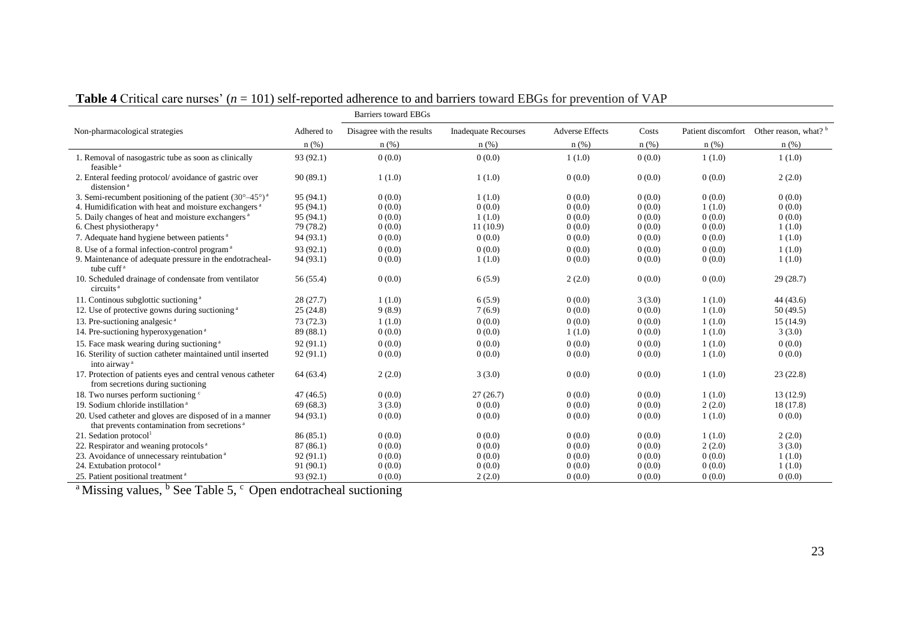|                                                                                                                      |            | <b>Barriers toward EBGs</b> |                             |                        |        |        |                                                     |
|----------------------------------------------------------------------------------------------------------------------|------------|-----------------------------|-----------------------------|------------------------|--------|--------|-----------------------------------------------------|
| Non-pharmacological strategies                                                                                       | Adhered to | Disagree with the results   | <b>Inadequate Recourses</b> | <b>Adverse Effects</b> | Costs  |        | Patient discomfort Other reason, what? <sup>b</sup> |
|                                                                                                                      | n(%)       | $n$ (%)                     | $n$ (%)                     | $n$ (%)                | n(%)   | n(%)   | n(%)                                                |
| 1. Removal of nasogastric tube as soon as clinically<br>feasible <sup>a</sup>                                        | 93 (92.1)  | 0(0.0)                      | 0(0.0)                      | 1(1.0)                 | 0(0.0) | 1(1.0) | 1(1.0)                                              |
| 2. Enteral feeding protocol/avoidance of gastric over<br>distension <sup>a</sup>                                     | 90(89.1)   | 1(1.0)                      | 1(1.0)                      | 0(0.0)                 | 0(0.0) | 0(0.0) | 2(2.0)                                              |
| 3. Semi-recumbent positioning of the patient $(30^{\circ}-45^{\circ})^{\text{a}}$                                    | 95 (94.1)  | 0(0.0)                      | 1(1.0)                      | 0(0.0)                 | 0(0.0) | 0(0.0) | 0(0.0)                                              |
| 4. Humidification with heat and moisture exchangers <sup>a</sup>                                                     | 95(94.1)   | 0(0.0)                      | 0(0.0)                      | 0(0.0)                 | 0(0.0) | 1(1.0) | 0(0.0)                                              |
| 5. Daily changes of heat and moisture exchangers <sup>a</sup>                                                        | 95 (94.1)  | 0(0.0)                      | 1(1.0)                      | 0(0.0)                 | 0(0.0) | 0(0.0) | 0(0.0)                                              |
| 6. Chest physiotherapy <sup>a</sup>                                                                                  | 79 (78.2)  | 0(0.0)                      | 11(10.9)                    | 0(0.0)                 | 0(0.0) | 0(0.0) | 1(1.0)                                              |
| 7. Adequate hand hygiene between patients <sup>a</sup>                                                               | 94 (93.1)  | 0(0.0)                      | 0(0.0)                      | 0(0.0)                 | 0(0.0) | 0(0.0) | 1(1.0)                                              |
| 8. Use of a formal infection-control program <sup>a</sup>                                                            | 93 (92.1)  | 0(0.0)                      | 0(0.0)                      | 0(0.0)                 | 0(0.0) | 0(0.0) | 1(1.0)                                              |
| 9. Maintenance of adequate pressure in the endotracheal-<br>tube cuff <sup>a</sup>                                   | 94 (93.1)  | 0(0.0)                      | 1(1.0)                      | 0(0.0)                 | 0(0.0) | 0(0.0) | 1(1.0)                                              |
| 10. Scheduled drainage of condensate from ventilator<br>circuits <sup>a</sup>                                        | 56 (55.4)  | 0(0.0)                      | 6(5.9)                      | 2(2.0)                 | 0(0.0) | 0(0.0) | 29(28.7)                                            |
| 11. Continous subglottic suctioning <sup>a</sup>                                                                     | 28(27.7)   | 1(1.0)                      | 6(5.9)                      | 0(0.0)                 | 3(3.0) | 1(1.0) | 44 (43.6)                                           |
| 12. Use of protective gowns during suctioning <sup>a</sup>                                                           | 25(24.8)   | 9(8.9)                      | 7(6.9)                      | 0(0.0)                 | 0(0.0) | 1(1.0) | 50(49.5)                                            |
| 13. Pre-suctioning analgesic <sup>a</sup>                                                                            | 73(72.3)   | 1(1.0)                      | 0(0.0)                      | 0(0.0)                 | 0(0.0) | 1(1.0) | 15 (14.9)                                           |
| 14. Pre-suctioning hyperoxygenation <sup>a</sup>                                                                     | 89 (88.1)  | 0(0.0)                      | 0(0.0)                      | 1(1.0)                 | 0(0.0) | 1(1.0) | 3(3.0)                                              |
| 15. Face mask wearing during suctioning <sup>a</sup>                                                                 | 92(91.1)   | 0(0.0)                      | 0(0.0)                      | 0(0.0)                 | 0(0.0) | 1(1.0) | 0(0.0)                                              |
| 16. Sterility of suction catheter maintained until inserted<br>into airway <sup>a</sup>                              | 92(91.1)   | 0(0.0)                      | 0(0.0)                      | 0(0.0)                 | 0(0.0) | 1(1.0) | 0(0.0)                                              |
| 17. Protection of patients eyes and central venous catheter<br>from secretions during suctioning                     | 64(63.4)   | 2(2.0)                      | 3(3.0)                      | 0(0.0)                 | 0(0.0) | 1(1.0) | 23(22.8)                                            |
| 18. Two nurses perform suctioning <sup>c</sup>                                                                       | 47(46.5)   | 0(0.0)                      | 27(26.7)                    | 0(0.0)                 | 0(0.0) | 1(1.0) | 13 (12.9)                                           |
| 19. Sodium chloride instillation <sup>a</sup>                                                                        | 69(68.3)   | 3(3.0)                      | 0(0.0)                      | 0(0.0)                 | 0(0.0) | 2(2.0) | 18 (17.8)                                           |
| 20. Used catheter and gloves are disposed of in a manner<br>that prevents contamination from secretions <sup>a</sup> | 94 (93.1)  | 0(0.0)                      | 0(0.0)                      | 0(0.0)                 | 0(0.0) | 1(1.0) | 0(0.0)                                              |
| 21. Sedation protocol <sup>1</sup>                                                                                   | 86(85.1)   | 0(0.0)                      | 0(0.0)                      | 0(0.0)                 | 0(0.0) | 1(1.0) | 2(2.0)                                              |
| 22. Respirator and weaning protocols <sup>a</sup>                                                                    | 87(86.1)   | 0(0.0)                      | 0(0.0)                      | 0(0.0)                 | 0(0.0) | 2(2.0) | 3(3.0)                                              |
| 23. Avoidance of unnecessary reintubation <sup>a</sup>                                                               | 92 (91.1)  | 0(0.0)                      | 0(0.0)                      | 0(0.0)                 | 0(0.0) | 0(0.0) | 1(1.0)                                              |
| 24. Extubation protocol <sup>a</sup>                                                                                 | 91 (90.1)  | 0(0.0)                      | 0(0.0)                      | 0(0.0)                 | 0(0.0) | 0(0.0) | 1(1.0)                                              |
| 25. Patient positional treatment <sup>a</sup>                                                                        | 93(92.1)   | 0(0.0)                      | 2(2.0)                      | 0(0.0)                 | 0(0.0) | 0(0.0) | 0(0.0)                                              |

**Table 4** Critical care nurses' (*n* = 101) self-reported adherence to and barriers toward EBGs for prevention of VAP

<sup>a</sup> Missing values, <sup>b</sup> See Table 5, <sup>c</sup> Open endotracheal suctioning